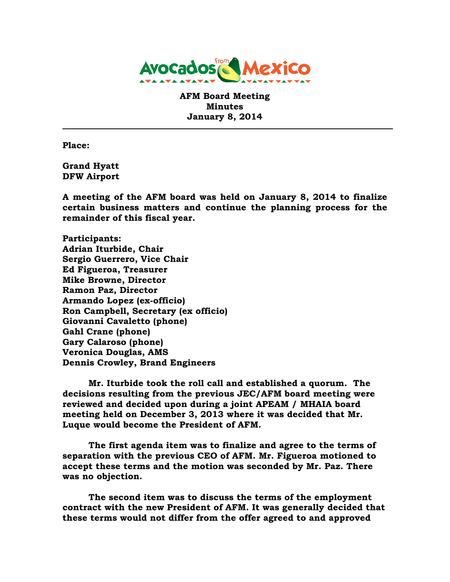

**AFM Board Meeting Minutes January 8, 2014**

**Place:**

**Grand Hyatt DFW Airport**

**A meeting of the AFM board was held on January 8, 2014 to finalize certain business matters and continue the planning process for the remainder of this fiscal year.**

**Participants: Adrian Iturbide, Chair Sergio Guerrero, Vice Chair Ed Figueroa, Treasurer Mike Browne, Director Ramon Paz, Director Armando Lopez (ex-officio) Ron Campbell, Secretary (ex officio) Giovanni Cavaletto (phone) Gahl Crane (phone) Gary Calaroso (phone) Veronica Douglas, AMS Dennis Crowley, Brand Engineers**

**Mr. Iturbide took the roll call and established a quorum. The decisions resulting from the previous JEC/AFM board meeting were reviewed and decided upon during a joint APEAM / MHAIA board meeting held on December 3, 2013 where it was decided that Mr. Luque would become the President of AFM.**

**The first agenda item was to finalize and agree to the terms of separation with the previous CEO of AFM. Mr. Figueroa motioned to accept these terms and the motion was seconded by Mr. Paz. There was no objection.**

**The second item was to discuss the terms of the employment contract with the new President of AFM. It was generally decided that these terms would not differ from the offer agreed to and approved**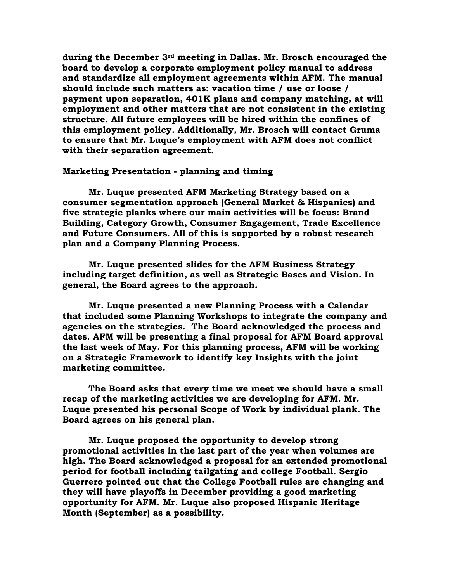**during the December 3rd meeting in Dallas. Mr. Brosch encouraged the board to develop a corporate employment policy manual to address and standardize all employment agreements within AFM. The manual should include such matters as: vacation time / use or loose / payment upon separation, 401K plans and company matching, at will employment and other matters that are not consistent in the existing structure. All future employees will be hired within the confines of this employment policy. Additionally, Mr. Brosch will contact Gruma to ensure that Mr. Luque's employment with AFM does not conflict with their separation agreement.**

## **Marketing Presentation - planning and timing**

**Mr. Luque presented AFM Marketing Strategy based on a consumer segmentation approach (General Market & Hispanics) and five strategic planks where our main activities will be focus: Brand Building, Category Growth, Consumer Engagement, Trade Excellence and Future Consumers. All of this is supported by a robust research plan and a Company Planning Process.**

**Mr. Luque presented slides for the AFM Business Strategy including target definition, as well as Strategic Bases and Vision. In general, the Board agrees to the approach.**

**Mr. Luque presented a new Planning Process with a Calendar that included some Planning Workshops to integrate the company and agencies on the strategies. The Board acknowledged the process and dates. AFM will be presenting a final proposal for AFM Board approval the last week of May. For this planning process, AFM will be working on a Strategic Framework to identify key Insights with the joint marketing committee.**

**The Board asks that every time we meet we should have a small recap of the marketing activities we are developing for AFM. Mr. Luque presented his personal Scope of Work by individual plank. The Board agrees on his general plan.**

**Mr. Luque proposed the opportunity to develop strong promotional activities in the last part of the year when volumes are high. The Board acknowledged a proposal for an extended promotional period for football including tailgating and college Football. Sergio Guerrero pointed out that the College Football rules are changing and they will have playoffs in December providing a good marketing opportunity for AFM. Mr. Luque also proposed Hispanic Heritage Month (September) as a possibility.**